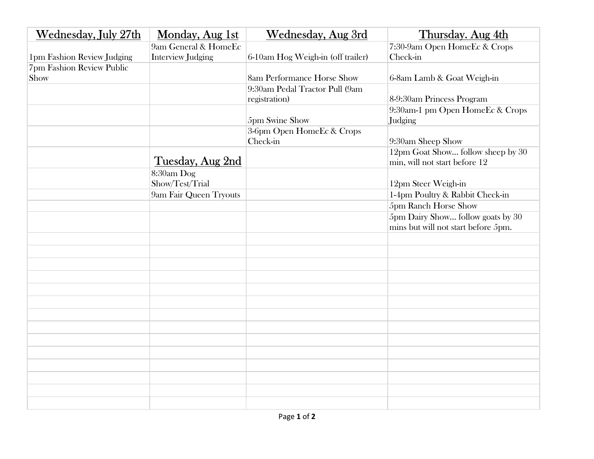| <b>Wednesday</b> , July 27th | Monday, Aug 1st          | <b>Wednesday, Aug 3rd</b>         | Thursday. Aug 4th                                                        |
|------------------------------|--------------------------|-----------------------------------|--------------------------------------------------------------------------|
|                              | 9am General & HomeEc     |                                   | 7:30-9am Open HomeEc & Crops                                             |
| 1pm Fashion Review Judging   | <b>Interview Judging</b> | 6-10am Hog Weigh-in (off trailer) | Check-in                                                                 |
| 7pm Fashion Review Public    |                          |                                   |                                                                          |
| Show                         |                          | 8am Performance Horse Show        | 6-8am Lamb & Goat Weigh-in                                               |
|                              |                          | 9:30am Pedal Tractor Pull (9am    |                                                                          |
|                              |                          | registration)                     | 8-9:30am Princess Program                                                |
|                              |                          | 5pm Swine Show                    | 9:30am-1 pm Open HomeEc & Crops<br>Judging                               |
|                              |                          | 3-6pm Open HomeEc & Crops         |                                                                          |
|                              |                          | Check-in                          | 9:30am Sheep Show                                                        |
|                              | Tuesday, Aug 2nd         |                                   | 12pm Goat Show follow sheep by 30<br>min, will not start before 12       |
|                              | 8:30am Dog               |                                   |                                                                          |
|                              | Show/Test/Trial          |                                   | 12pm Steer Weigh-in                                                      |
|                              | 9am Fair Queen Tryouts   |                                   | 1-4pm Poultry & Rabbit Check-in                                          |
|                              |                          |                                   | 5pm Ranch Horse Show                                                     |
|                              |                          |                                   | 5pm Dairy Show follow goats by 30<br>mins but will not start before 5pm. |
|                              |                          |                                   |                                                                          |
|                              |                          |                                   |                                                                          |
|                              |                          |                                   |                                                                          |
|                              |                          |                                   |                                                                          |
|                              |                          |                                   |                                                                          |
|                              |                          |                                   |                                                                          |
|                              |                          |                                   |                                                                          |
|                              |                          |                                   |                                                                          |
|                              |                          |                                   |                                                                          |
|                              |                          |                                   |                                                                          |
|                              |                          |                                   |                                                                          |
|                              |                          |                                   |                                                                          |
|                              |                          |                                   |                                                                          |
|                              |                          |                                   |                                                                          |